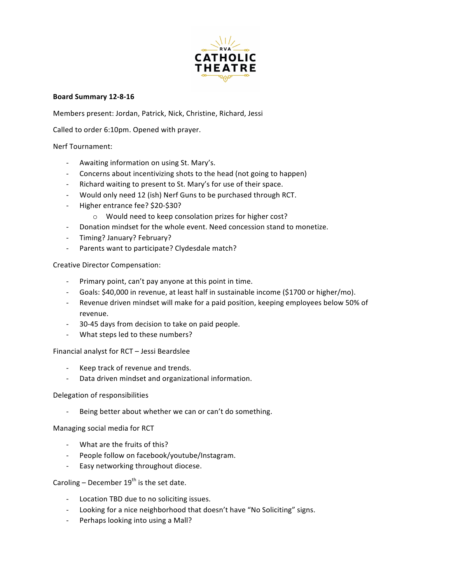

# **Board Summary 12-8-16**

Members present: Jordan, Patrick, Nick, Christine, Richard, Jessi

Called to order 6:10pm. Opened with prayer.

# Nerf Tournament:

- Awaiting information on using St. Mary's.
- Concerns about incentivizing shots to the head (not going to happen)
- Richard waiting to present to St. Mary's for use of their space.
- Would only need 12 (ish) Nerf Guns to be purchased through RCT.
- Higher entrance fee? \$20-\$30?
	- o Would need to keep consolation prizes for higher cost?
- Donation mindset for the whole event. Need concession stand to monetize.
- Timing? January? February?
- Parents want to participate? Clydesdale match?

Creative Director Compensation:

- Primary point, can't pay anyone at this point in time.
- Goals: \$40,000 in revenue, at least half in sustainable income (\$1700 or higher/mo).
- Revenue driven mindset will make for a paid position, keeping employees below 50% of revenue.
- 30-45 days from decision to take on paid people.
- What steps led to these numbers?

Financial analyst for RCT - Jessi Beardslee

- Keep track of revenue and trends.
- Data driven mindset and organizational information.

# Delegation of responsibilities

Being better about whether we can or can't do something.

Managing social media for RCT

- What are the fruits of this?
- People follow on facebook/youtube/Instagram.
- Easy networking throughout diocese.

Caroling – December  $19^{th}$  is the set date.

- Location TBD due to no soliciting issues.
- Looking for a nice neighborhood that doesn't have "No Soliciting" signs.
- Perhaps looking into using a Mall?